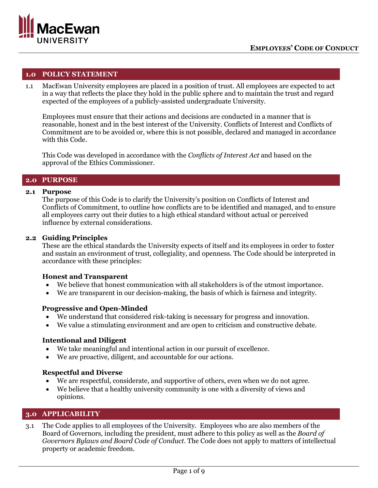

### **1.0 POLICY STATEMENT**

1.1 MacEwan University employees are placed in a position of trust. All employees are expected to act in a way that reflects the place they hold in the public sphere and to maintain the trust and regard expected of the employees of a publicly-assisted undergraduate University.

Employees must ensure that their actions and decisions are conducted in a manner that is reasonable, honest and in the best interest of the University. Conflicts of Interest and Conflicts of Commitment are to be avoided or, where this is not possible, declared and managed in accordance with this Code.

This Code was developed in accordance with the *Conflicts of Interest Act* and based on the approval of the Ethics Commissioner.

### **2.0 PURPOSE**

### **2.1 Purpose**

The purpose of this Code is to clarify the University's position on Conflicts of Interest and Conflicts of Commitment, to outline how conflicts are to be identified and managed, and to ensure all employees carry out their duties to a high ethical standard without actual or perceived influence by external considerations.

### **2.2 Guiding Principles**

These are the ethical standards the University expects of itself and its employees in order to foster and sustain an environment of trust, collegiality, and openness. The Code should be interpreted in accordance with these principles:

### **Honest and Transparent**

- We believe that honest communication with all stakeholders is of the utmost importance.
- We are transparent in our decision-making, the basis of which is fairness and integrity.

### **Progressive and Open-Minded**

- We understand that considered risk-taking is necessary for progress and innovation.
- We value a stimulating environment and are open to criticism and constructive debate.

# **Intentional and Diligent**

- We take meaningful and intentional action in our pursuit of excellence.
- We are proactive, diligent, and accountable for our actions.

### **Respectful and Diverse**

- We are respectful, considerate, and supportive of others, even when we do not agree.
- We believe that a healthy university community is one with a diversity of views and opinions.

# **3.0 APPLICABILITY**

3.1 The Code applies to all employees of the University. Employees who are also members of the Board of Governors, including the president, must adhere to this policy as well as the *Board of Governors Bylaws and Board Code of Conduct*. The Code does not apply to matters of intellectual property or academic freedom.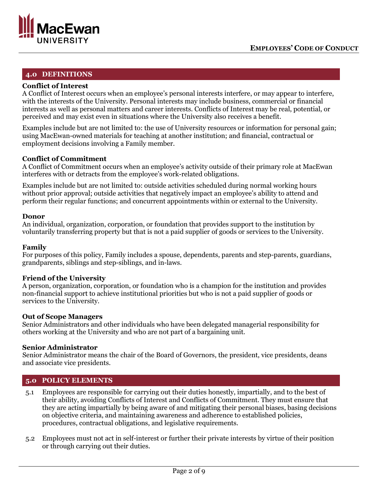

# **4.0 DEFINITIONS**

### **Conflict of Interest**

A Conflict of Interest occurs when an employee's personal interests interfere, or may appear to interfere, with the interests of the University. Personal interests may include business, commercial or financial interests as well as personal matters and career interests. Conflicts of Interest may be real, potential, or perceived and may exist even in situations where the University also receives a benefit.

Examples include but are not limited to: the use of University resources or information for personal gain; using MacEwan-owned materials for teaching at another institution; and financial, contractual or employment decisions involving a Family member.

# **Conflict of Commitment**

A Conflict of Commitment occurs when an employee's activity outside of their primary role at MacEwan interferes with or detracts from the employee's work-related obligations.

Examples include but are not limited to: outside activities scheduled during normal working hours without prior approval; outside activities that negatively impact an employee's ability to attend and perform their regular functions; and concurrent appointments within or external to the University.

### **Donor**

An individual, organization, corporation, or foundation that provides support to the institution by voluntarily transferring property but that is not a paid supplier of goods or services to the University.

### **Family**

For purposes of this policy, Family includes a spouse, dependents, parents and step-parents, guardians, grandparents, siblings and step-siblings, and in-laws.

### **Friend of the University**

A person, organization, corporation, or foundation who is a champion for the institution and provides non-financial support to achieve institutional priorities but who is not a paid supplier of goods or services to the University.

### **Out of Scope Managers**

Senior Administrators and other individuals who have been delegated managerial responsibility for others working at the University and who are not part of a bargaining unit.

### **Senior Administrator**

Senior Administrator means the chair of the Board of Governors, the president, vice presidents, deans and associate vice presidents.

### **5.0 POLICY ELEMENTS**

- 5.1 Employees are responsible for carrying out their duties honestly, impartially, and to the best of their ability, avoiding Conflicts of Interest and Conflicts of Commitment. They must ensure that they are acting impartially by being aware of and mitigating their personal biases, basing decisions on objective criteria, and maintaining awareness and adherence to established policies, procedures, contractual obligations, and legislative requirements.
- 5.2 Employees must not act in self-interest or further their private interests by virtue of their position or through carrying out their duties.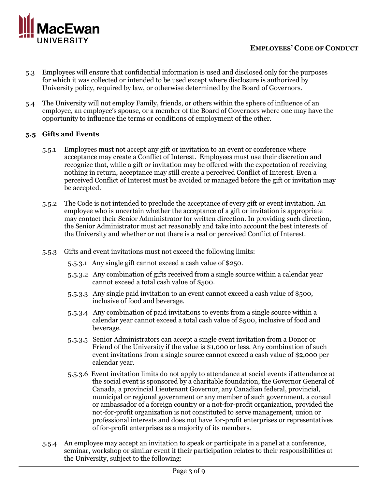

- 5.3 Employees will ensure that confidential information is used and disclosed only for the purposes for which it was collected or intended to be used except where disclosure is authorized by University policy, required by law, or otherwise determined by the Board of Governors.
- 5.4 The University will not employ Family, friends, or others within the sphere of influence of an employee, an employee's spouse, or a member of the Board of Governors where one may have the opportunity to influence the terms or conditions of employment of the other.

# **5.5 Gifts and Events**

- 5.5.1 Employees must not accept any gift or invitation to an event or conference where acceptance may create a Conflict of Interest. Employees must use their discretion and recognize that, while a gift or invitation may be offered with the expectation of receiving nothing in return, acceptance may still create a perceived Conflict of Interest. Even a perceived Conflict of Interest must be avoided or managed before the gift or invitation may be accepted.
- 5.5.2 The Code is not intended to preclude the acceptance of every gift or event invitation. An employee who is uncertain whether the acceptance of a gift or invitation is appropriate may contact their Senior Administrator for written direction. In providing such direction, the Senior Administrator must act reasonably and take into account the best interests of the University and whether or not there is a real or perceived Conflict of Interest.
- 5.5.3 Gifts and event invitations must not exceed the following limits:
	- 5.5.3.1 Any single gift cannot exceed a cash value of \$250.
	- 5.5.3.2 Any combination of gifts received from a single source within a calendar year cannot exceed a total cash value of \$500.
	- 5.5.3.3 Any single paid invitation to an event cannot exceed a cash value of \$500, inclusive of food and beverage.
	- 5.5.3.4 Any combination of paid invitations to events from a single source within a calendar year cannot exceed a total cash value of \$500, inclusive of food and beverage.
	- 5.5.3.5 Senior Administrators can accept a single event invitation from a Donor or Friend of the University if the value is \$1,000 or less. Any combination of such event invitations from a single source cannot exceed a cash value of \$2,000 per calendar year.
	- 5.5.3.6 Event invitation limits do not apply to attendance at social events if attendance at the social event is sponsored by a charitable foundation, the Governor General of Canada, a provincial Lieutenant Governor, any Canadian federal, provincial, municipal or regional government or any member of such government, a consul or ambassador of a foreign country or a not-for-profit organization, provided the not-for-profit organization is not constituted to serve management, union or professional interests and does not have for-profit enterprises or representatives of for-profit enterprises as a majority of its members.
- 5.5.4 An employee may accept an invitation to speak or participate in a panel at a conference, seminar, workshop or similar event if their participation relates to their responsibilities at the University, subject to the following: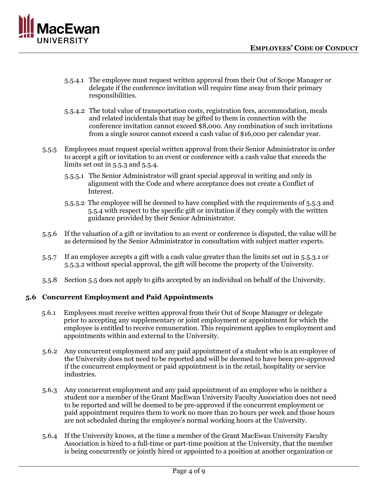

- 5.5.4.1 The employee must request written approval from their Out of Scope Manager or delegate if the conference invitation will require time away from their primary responsibilities.
- 5.5.4.2 The total value of transportation costs, registration fees, accommodation, meals and related incidentals that may be gifted to them in connection with the conference invitation cannot exceed \$8,000. Any combination of such invitations from a single source cannot exceed a cash value of \$16,000 per calendar year.
- 5.5.5 Employees must request special written approval from their Senior Administrator in order to accept a gift or invitation to an event or conference with a cash value that exceeds the limits set out in 5.5.3 and 5.5.4.
	- 5.5.5.1 The Senior Administrator will grant special approval in writing and only in alignment with the Code and where acceptance does not create a Conflict of Interest.
	- 5.5.5.2 The employee will be deemed to have complied with the requirements of 5.5.3 and 5.5.4 with respect to the specific gift or invitation if they comply with the written guidance provided by their Senior Administrator.
- 5.5.6 If the valuation of a gift or invitation to an event or conference is disputed, the value will be as determined by the Senior Administrator in consultation with subject matter experts.
- 5.5.7 If an employee accepts a gift with a cash value greater than the limits set out in 5.5.3.1 or 5.5.3.2 without special approval, the gift will become the property of the University.
- 5.5.8 Section 5.5 does not apply to gifts accepted by an individual on behalf of the University.

# **5.6 Concurrent Employment and Paid Appointments**

- 5.6.1 Employees must receive written approval from their Out of Scope Manager or delegate prior to accepting any supplementary or joint employment or appointment for which the employee is entitled to receive remuneration. This requirement applies to employment and appointments within and external to the University.
- 5.6.2 Any concurrent employment and any paid appointment of a student who is an employee of the University does not need to be reported and will be deemed to have been pre-approved if the concurrent employment or paid appointment is in the retail, hospitality or service industries.
- 5.6.3 Any concurrent employment and any paid appointment of an employee who is neither a student nor a member of the Grant MacEwan University Faculty Association does not need to be reported and will be deemed to be pre-approved if the concurrent employment or paid appointment requires them to work no more than 20 hours per week and those hours are not scheduled during the employee's normal working hours at the University.
- 5.6.4 If the University knows, at the time a member of the Grant MacEwan University Faculty Association is hired to a full-time or part-time position at the University, that the member is being concurrently or jointly hired or appointed to a position at another organization or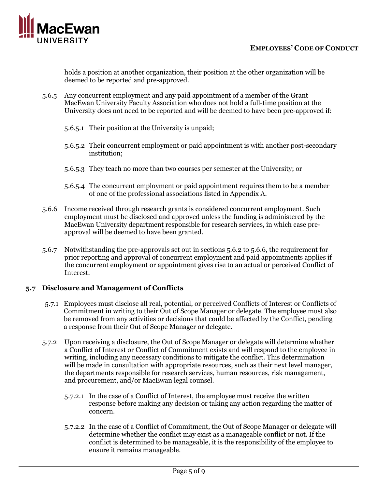

holds a position at another organization, their position at the other organization will be deemed to be reported and pre-approved.

- 5.6.5 Any concurrent employment and any paid appointment of a member of the Grant MacEwan University Faculty Association who does not hold a full-time position at the University does not need to be reported and will be deemed to have been pre-approved if:
	- 5.6.5.1 Their position at the University is unpaid;
	- 5.6.5.2 Their concurrent employment or paid appointment is with another post-secondary institution;
	- 5.6.5.3 They teach no more than two courses per semester at the University; or
	- 5.6.5.4 The concurrent employment or paid appointment requires them to be a member of one of the professional associations listed in Appendix A.
- 5.6.6 Income received through research grants is considered concurrent employment. Such employment must be disclosed and approved unless the funding is administered by the MacEwan University department responsible for research services, in which case preapproval will be deemed to have been granted.
- 5.6.7 Notwithstanding the pre-approvals set out in sections 5.6.2 to 5.6.6, the requirement for prior reporting and approval of concurrent employment and paid appointments applies if the concurrent employment or appointment gives rise to an actual or perceived Conflict of Interest.

# **5.7 Disclosure and Management of Conflicts**

- 5.7.1 Employees must disclose all real, potential, or perceived Conflicts of Interest or Conflicts of Commitment in writing to their Out of Scope Manager or delegate. The employee must also be removed from any activities or decisions that could be affected by the Conflict, pending a response from their Out of Scope Manager or delegate.
- 5.7.2 Upon receiving a disclosure, the Out of Scope Manager or delegate will determine whether a Conflict of Interest or Conflict of Commitment exists and will respond to the employee in writing, including any necessary conditions to mitigate the conflict. This determination will be made in consultation with appropriate resources, such as their next level manager, the departments responsible for research services, human resources, risk management, and procurement, and/or MacEwan legal counsel.
	- 5.7.2.1 In the case of a Conflict of Interest, the employee must receive the written response before making any decision or taking any action regarding the matter of concern.
	- 5.7.2.2 In the case of a Conflict of Commitment, the Out of Scope Manager or delegate will determine whether the conflict may exist as a manageable conflict or not. If the conflict is determined to be manageable, it is the responsibility of the employee to ensure it remains manageable.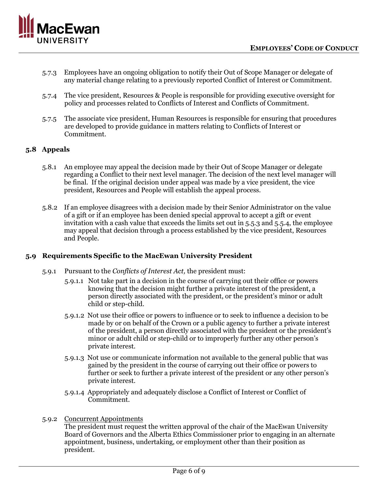

- 5.7.3 Employees have an ongoing obligation to notify their Out of Scope Manager or delegate of any material change relating to a previously reported Conflict of Interest or Commitment.
- 5.7.4 The vice president, Resources & People is responsible for providing executive oversight for policy and processes related to Conflicts of Interest and Conflicts of Commitment.
- 5.7.5 The associate vice president, Human Resources is responsible for ensuring that procedures are developed to provide guidance in matters relating to Conflicts of Interest or Commitment.

# **5.8 Appeals**

- 5.8.1 An employee may appeal the decision made by their Out of Scope Manager or delegate regarding a Conflict to their next level manager. The decision of the next level manager will be final. If the original decision under appeal was made by a vice president, the vice president, Resources and People will establish the appeal process.
- 5.8.2 If an employee disagrees with a decision made by their Senior Administrator on the value of a gift or if an employee has been denied special approval to accept a gift or event invitation with a cash value that exceeds the limits set out in 5.5.3 and 5.5.4, the employee may appeal that decision through a process established by the vice president, Resources and People.

# **5.9 Requirements Specific to the MacEwan University President**

- 5.9.1 Pursuant to the *Conflicts of Interest Act,* the president must:
	- 5.9.1.1 Not take part in a decision in the course of carrying out their office or powers knowing that the decision might further a private interest of the president, a person directly associated with the president, or the president's minor or adult child or step-child.
	- 5.9.1.2 Not use their office or powers to influence or to seek to influence a decision to be made by or on behalf of the Crown or a public agency to further a private interest of the president, a person directly associated with the president or the president's minor or adult child or step-child or to improperly further any other person's private interest.
	- 5.9.1.3 Not use or communicate information not available to the general public that was gained by the president in the course of carrying out their office or powers to further or seek to further a private interest of the president or any other person's private interest.
	- 5.9.1.4 Appropriately and adequately disclose a Conflict of Interest or Conflict of Commitment.
- 5.9.2 Concurrent Appointments

The president must request the written approval of the chair of the MacEwan University Board of Governors and the Alberta Ethics Commissioner prior to engaging in an alternate appointment, business, undertaking, or employment other than their position as president.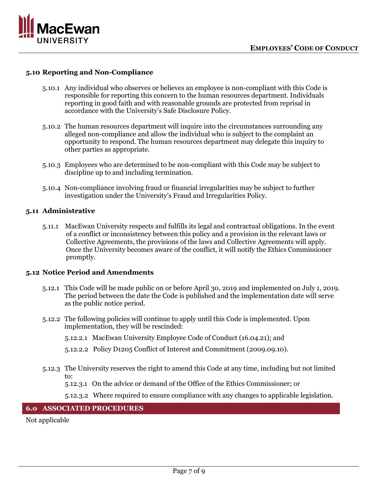

### **5.10 Reporting and Non-Compliance**

- 5.10.1 Any individual who observes or believes an employee is non-compliant with this Code is responsible for reporting this concern to the human resources department. Individuals reporting in good faith and with reasonable grounds are protected from reprisal in accordance with the University's Safe Disclosure Policy.
- 5.10.2 The human resources department will inquire into the circumstances surrounding any alleged non-compliance and allow the individual who is subject to the complaint an opportunity to respond. The human resources department may delegate this inquiry to other parties as appropriate.
- 5.10.3 Employees who are determined to be non-compliant with this Code may be subject to discipline up to and including termination.
- 5.10.4 Non-compliance involving fraud or financial irregularities may be subject to further investigation under the University's Fraud and Irregularities Policy.

### **5.11 Administrative**

5.11.1 MacEwan University respects and fulfills its legal and contractual obligations. In the event of a conflict or inconsistency between this policy and a provision in the relevant laws or Collective Agreements, the provisions of the laws and Collective Agreements will apply. Once the University becomes aware of the conflict, it will notify the Ethics Commissioner promptly.

### **5.12 Notice Period and Amendments**

- 5.12.1 This Code will be made public on or before April 30, 2019 and implemented on July 1, 2019. The period between the date the Code is published and the implementation date will serve as the public notice period.
- 5.12.2 The following policies will continue to apply until this Code is implemented. Upon implementation, they will be rescinded:
	- 5.12.2.1 MacEwan University Employee Code of Conduct (16.04.21); and
	- 5.12.2.2 Policy D1205 Conflict of Interest and Commitment (2009.09.10).
- 5.12.3 The University reserves the right to amend this Code at any time, including but not limited to:
	- 5.12.3.1 On the advice or demand of the Office of the Ethics Commissioner; or
	- 5.12.3.2 Where required to ensure compliance with any changes to applicable legislation.

# **6.0 ASSOCIATED PROCEDURES**

Not applicable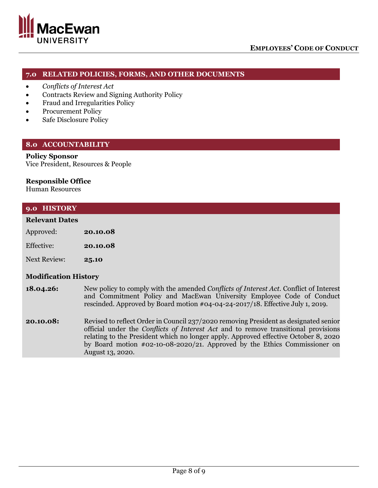

# **7.0 RELATED POLICIES, FORMS, AND OTHER DOCUMENTS**

- *Conflicts of Interest Act*
- Contracts Review and Signing Authority Policy
- Fraud and Irregularities Policy
- Procurement Policy
- Safe Disclosure Policy

### **8.0 ACCOUNTABILITY**

### **Policy Sponsor**

Vice President, Resources & People

### **Responsible Office**

Human Resources

### **9.0 HISTORY**

### **Relevant Dates**

| Approved: | 20.10.08 |
|-----------|----------|
|-----------|----------|

Next Review: **25.10**

### **Modification History**

- **18.04.26:** New policy to comply with the amended *Conflicts of Interest Act*. Conflict of Interest and Commitment Policy and MacEwan University Employee Code of Conduct rescinded. Approved by Board motion #04-04-24-2017/18. Effective July 1, 2019.
- **20.10.08:** Revised to reflect Order in Council 237/2020 removing President as designated senior official under the *Conflicts of Interest Act* and to remove transitional provisions relating to the President which no longer apply. Approved effective October 8, 2020 by Board motion #02-10-08-2020/21. Approved by the Ethics Commissioner on August 13, 2020.